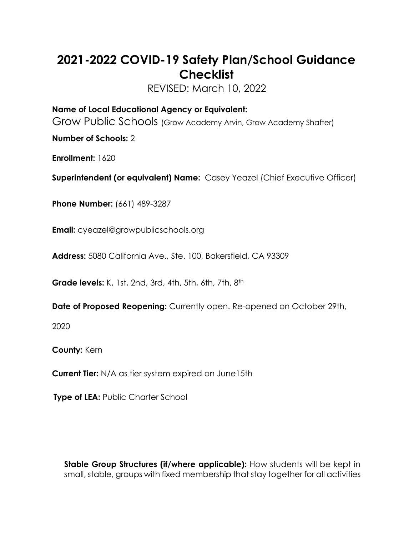## **2021-2022 COVID-19 Safety Plan/School Guidance Checklist**

REVISED: March 10, 2022

**Name of Local Educational Agency or Equivalent:**  Grow Public Schools (Grow Academy Arvin, Grow Academy Shafter)

**Number of Schools:** 2

**Enrollment:** 1620

**Superintendent (or equivalent) Name:** Casey Yeazel (Chief Executive Officer)

**Phone Number:** (661) 489-3287

**Email:** [cyeazel@growpublicschools.org](mailto:cyeazel@grimmwayschools.org)

**Address:** 5080 California Ave., Ste. 100, Bakersfield, CA 93309

**Grade levels:** K, 1st, 2nd, 3rd, 4th, 5th, 6th, 7th, 8th

**Date of Proposed Reopening:** Currently open. Re-opened on October 29th,

2020

**County:** Kern

**Current Tier:** N/A as tier system expired on June15th

**Type of LEA: Public Charter School** 

**Stable Group Structures (if/where applicable):** How students will be kept in small, stable, groups with fixed membership that stay together for all activities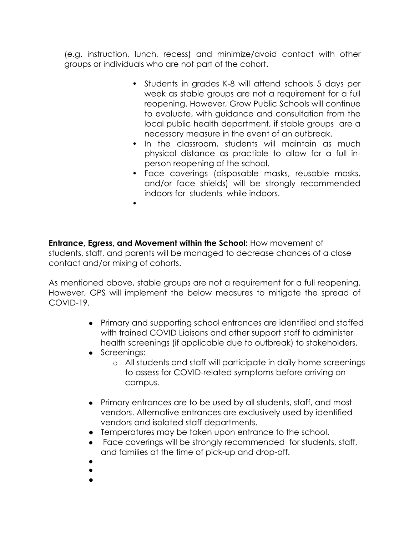(e.g. instruction, lunch, recess) and minimize/avoid contact with other groups or individuals who are not part of the cohort.

- Students in grades K-8 will attend schools 5 days per week as stable groups are not a requirement for a full reopening. However, Grow Public Schools will continue to evaluate, with guidance and consultation from the local public health department, if stable groups are a necessary measure in the event of an outbreak.
- In the classroom, students will maintain as much physical distance as practible to allow for a full inperson reopening of the school.
- Face coverings (disposable masks, reusable masks, and/or face shields) will be strongly recommended indoors for students while indoors.

**Entrance, Egress, and Movement within the School:** How movement of students, staff, and parents will be managed to decrease chances of a close contact and/or mixing of cohorts.

As mentioned above, stable groups are not a requirement for a full reopening. However, GPS will implement the below measures to mitigate the spread of COVID-19.

- Primary and supporting school entrances are identified and staffed with trained COVID Liaisons and other support staff to administer health screenings (if applicable due to outbreak) to stakeholders.
- Screenings:

•

- o All students and staff will participate in daily home screenings to assess for COVID-related symptoms before arriving on campus.
- Primary entrances are to be used by all students, staff, and most vendors. Alternative entrances are exclusively used by identified vendors and isolated staff departments.
- Temperatures may be taken upon entrance to the school.
- Face coverings will be strongly recommended for students, staff, and families at the time of pick-up and drop-off.
- $\bullet$
- ●
- ●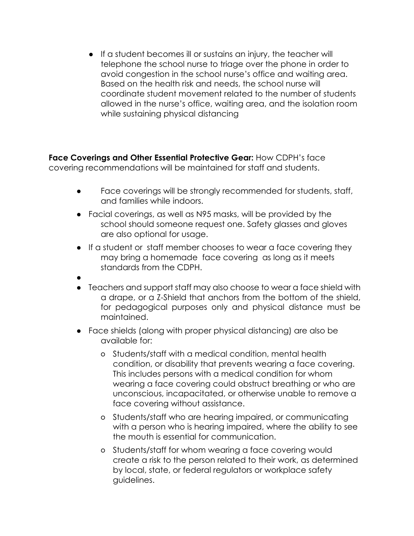● If a student becomes ill or sustains an injury, the teacher will telephone the school nurse to triage over the phone in order to avoid congestion in the school nurse's office and waiting area. Based on the health risk and needs, the school nurse will coordinate student movement related to the number of students allowed in the nurse's office, waiting area, and the isolation room while sustaining physical distancing

**Face Coverings and Other Essential Protective Gear:** How CDPH's face covering recommendations will be maintained for staff and students.

- **●** Face coverings will be strongly recommended for students, staff, and families while indoors.
- **●** Facial coverings, as well as N95 masks, will be provided by the school should someone request one. Safety glasses and gloves are also optional for usage.
- **●** If a student or staff member chooses to wear a face covering they may bring a homemade face covering as long as it meets standards from the CDPH.
- **●**
- **●** Teachers and support staff may also choose to wear a face shield with a drape, or a Z-Shield that anchors from the bottom of the shield, for pedagogical purposes only and physical distance must be maintained.
- **●** Face shields (along with proper physical distancing) are also be available for:
	- Students/staff with a medical condition, mental health condition, or disability that prevents wearing a face covering. This includes persons with a medical condition for whom wearing a face covering could obstruct breathing or who are unconscious, incapacitated, or otherwise unable to remove a face covering without assistance.
	- Students/staff who are hearing impaired, or communicating with a person who is hearing impaired, where the ability to see the mouth is essential for communication.
	- Students/staff for whom wearing a face covering would create a risk to the person related to their work, as determined by local, state, or federal regulators or workplace safety guidelines.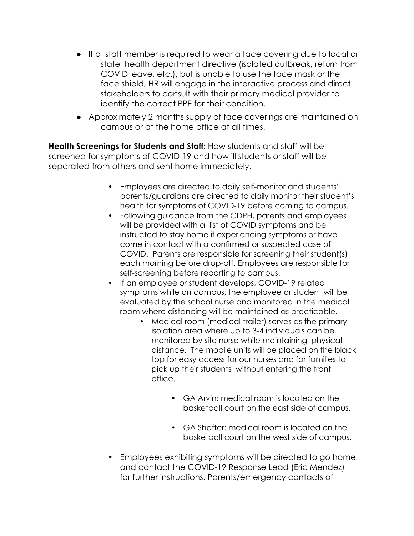- **●** If a staff member is required to wear a face covering due to local or state health department directive (isolated outbreak, return from COVID leave, etc.), but is unable to use the face mask or the face shield, HR will engage in the interactive process and direct stakeholders to consult with their primary medical provider to identify the correct PPE for their condition.
- **●** Approximately 2 months supply of face coverings are maintained on campus or at the home office at all times.

**Health Screenings for Students and Staff:** How students and staff will be screened for symptoms of COVID-19 and how ill students or staff will be separated from others and sent home immediately.

- Employees are directed to daily self-monitor and students' parents/guardians are directed to daily monitor their student's health for symptoms of COVID-19 before coming to campus.
- Following guidance from the CDPH, parents and employees will be provided with a list of COVID symptoms and be instructed to stay home if experiencing symptoms or have come in contact with a confirmed or suspected case of COVID. Parents are responsible for screening their student(s) each morning before drop-off. Employees are responsible for self-screening before reporting to campus.
- If an employee or student develops, COVID-19 related symptoms while on campus, the employee or student will be evaluated by the school nurse and monitored in the medical room where distancing will be maintained as practicable.
	- Medical room (medical trailer) serves as the primary isolation area where up to 3-4 individuals can be monitored by site nurse while maintaining physical distance. The mobile units will be placed on the black top for easy access for our nurses and for families to pick up their students without entering the front office.
		- GA Arvin: medical room is located on the basketball court on the east side of campus.
		- GA Shafter: medical room is located on the basketball court on the west side of campus.
- Employees exhibiting symptoms will be directed to go home and contact the COVID-19 Response Lead (Eric Mendez) for further instructions. Parents/emergency contacts of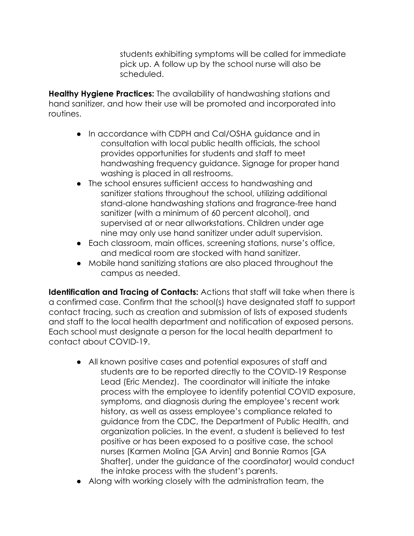students exhibiting symptoms will be called for immediate pick up. A follow up by the school nurse will also be scheduled.

**Healthy Hygiene Practices:** The availability of handwashing stations and hand sanitizer, and how their use will be promoted and incorporated into routines.

- **●** In accordance with CDPH and Cal/OSHA guidance and in consultation with local public health officials, the school provides opportunities for students and staff to meet handwashing frequency guidance. Signage for proper hand washing is placed in all restrooms.
- **●** The school ensures sufficient access to handwashing and sanitizer stations throughout the school, utilizing additional stand-alone handwashing stations and fragrance-free hand sanitizer (with a minimum of 60 percent alcohol), and supervised at or near allworkstations. Children under age nine may only use hand sanitizer under adult supervision.
- **●** Each classroom, main offices, screening stations, nurse's office, and medical room are stocked with hand sanitizer.
- **●** Mobile hand sanitizing stations are also placed throughout the campus as needed.

**Identification and Tracing of Contacts:** Actions that staff will take when there is a confirmed case. Confirm that the school(s) have designated staff to support contact tracing, such as creation and submission of lists of exposed students and staff to the local health department and notification of exposed persons. Each school must designate a person for the local health department to contact about COVID-19.

- **●** All known positive cases and potential exposures of staff and students are to be reported directly to the COVID-19 Response Lead (Eric Mendez). The coordinator will initiate the intake process with the employee to identify potential COVID exposure, symptoms, and diagnosis during the employee's recent work history, as well as assess employee's compliance related to guidance from the CDC, the Department of Public Health, and organization policies. In the event, a student is believed to test positive or has been exposed to a positive case, the school nurses (Karmen Molina [GA Arvin] and Bonnie Ramos [GA Shafter], under the guidance of the coordinator) would conduct the intake process with the student's parents.
- **●** Along with working closely with the administration team, the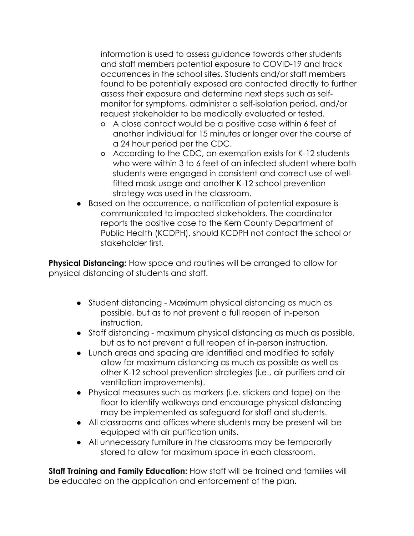information is used to assess guidance towards other students and staff members potential exposure to COVID-19 and track occurrences in the school sites. Students and/or staff members found to be potentially exposed are contacted directly to further assess their exposure and determine next steps such as selfmonitor for symptoms, administer a self-isolation period, and/or request stakeholder to be medically evaluated or tested.

- A close contact would be a positive case within 6 feet of another individual for 15 minutes or longer over the course of a 24 hour period per the CDC.
- According to the CDC, an exemption exists for K-12 students who were within 3 to 6 feet of an infected student where both students were engaged in consistent and correct use of wellfitted mask usage and another K-12 school prevention strategy was used in the classroom.
- **●** Based on the occurrence, a notification of potential exposure is communicated to impacted stakeholders. The coordinator reports the positive case to the Kern County Department of Public Health (KCDPH), should KCDPH not contact the school or stakeholder first.

**Physical Distancing:** How space and routines will be arranged to allow for physical distancing of students and staff.

- **●** Student distancing Maximum physical distancing as much as possible, but as to not prevent a full reopen of in-person instruction.
- **●** Staff distancing maximum physical distancing as much as possible, but as to not prevent a full reopen of in-person instruction.
- **●** Lunch areas and spacing are identified and modified to safely allow for maximum distancing as much as possible as well as other K-12 school prevention strategies (i.e., air purifiers and air ventilation improvements).
- **●** Physical measures such as markers (i.e. stickers and tape) on the floor to identify walkways and encourage physical distancing may be implemented as safeguard for staff and students.
- **●** All classrooms and offices where students may be present will be equipped with air purification units.
- **●** All unnecessary furniture in the classrooms may be temporarily stored to allow for maximum space in each classroom.

**Staff Training and Family Education:** How staff will be trained and families will be educated on the application and enforcement of the plan.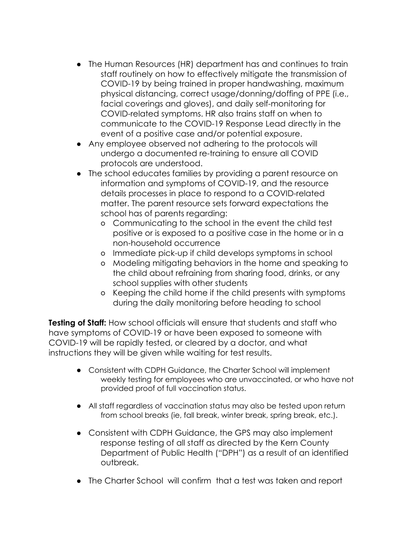- **●** The Human Resources (HR) department has and continues to train staff routinely on how to effectively mitigate the transmission of COVID-19 by being trained in proper handwashing, maximum physical distancing, correct usage/donning/doffing of PPE (i.e., facial coverings and gloves), and daily self-monitoring for COVID-related symptoms. HR also trains staff on when to communicate to the COVID-19 Response Lead directly in the event of a positive case and/or potential exposure.
- **●** Any employee observed not adhering to the protocols will undergo a documented re-training to ensure all COVID protocols are understood.
- **●** The school educates families by providing a parent resource on information and symptoms of COVID-19, and the resource details processes in place to respond to a COVID-related matter. The parent resource sets forward expectations the school has of parents regarding:
	- Communicating to the school in the event the child test positive or is exposed to a positive case in the home or in a non-household occurrence
	- Immediate pick-up if child develops symptoms in school
	- Modeling mitigating behaviors in the home and speaking to the child about refraining from sharing food, drinks, or any school supplies with other students
	- Keeping the child home if the child presents with symptoms during the daily monitoring before heading to school

**Testing of Staff:** How school officials will ensure that students and staff who have symptoms of COVID-19 or have been exposed to someone with COVID-19 will be rapidly tested, or cleared by a doctor, and what instructions they will be given while waiting for test results.

- **●** Consistent with CDPH Guidance, the Charter School will implement weekly testing for employees who are unvaccinated, or who have not provided proof of full vaccination status.
- **●** All staff regardless of vaccination status may also be tested upon return from school breaks (ie, fall break, winter break, spring break, etc.).
- **●** Consistent with CDPH Guidance, the GPS may also implement response testing of all staff as directed by the Kern County Department of Public Health ("DPH") as a result of an identified outbreak.
- **●** The Charter School will confirm that a test was taken and report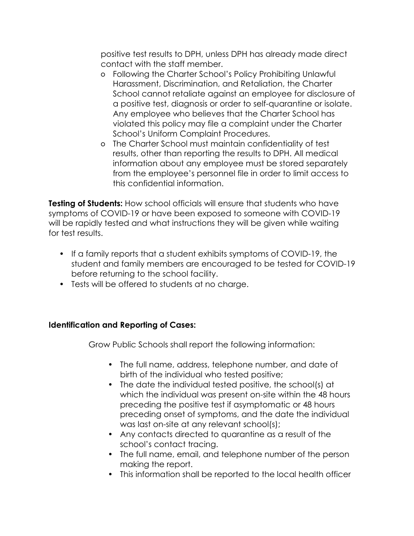positive test results to DPH, unless DPH has already made direct contact with the staff member.

- Following the Charter School's Policy Prohibiting Unlawful Harassment, Discrimination, and Retaliation, the Charter School cannot retaliate against an employee for disclosure of a positive test, diagnosis or order to self-quarantine or isolate. Any employee who believes that the Charter School has violated this policy may file a complaint under the Charter School's Uniform Complaint Procedures.
- The Charter School must maintain confidentiality of test results, other than reporting the results to DPH. All medical information about any employee must be stored separately from the employee's personnel file in order to limit access to this confidential information.

**Testing of Students:** How school officials will ensure that students who have symptoms of COVID-19 or have been exposed to someone with COVID-19 will be rapidly tested and what instructions they will be given while waiting for test results.

- If a family reports that a student exhibits symptoms of COVID-19, the student and family members are encouraged to be tested for COVID-19 before returning to the school facility.
- Tests will be offered to students at no charge.

## **Identification and Reporting of Cases:**

Grow Public Schools shall report the following information:

- The full name, address, telephone number, and date of birth of the individual who tested positive;
- The date the individual tested positive, the school(s) at which the individual was present on-site within the 48 hours preceding the positive test if asymptomatic or 48 hours preceding onset of symptoms, and the date the individual was last on-site at any relevant school(s);
- Any contacts directed to quarantine as a result of the school's contact tracing.
- The full name, email, and telephone number of the person making the report.
- This information shall be reported to the local health officer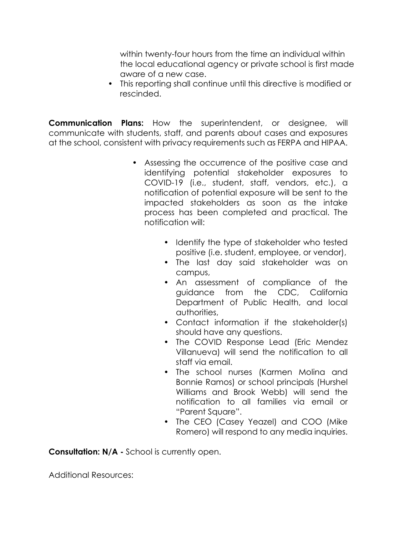within twenty-four hours from the time an individual within the local educational agency or private school is first made aware of a new case.

• This reporting shall continue until this directive is modified or rescinded.

**Communication Plans:** How the superintendent, or designee, will communicate with students, staff, and parents about cases and exposures at the school, consistent with privacy requirements such as FERPA and HIPAA.

- Assessing the occurrence of the positive case and identifying potential stakeholder exposures to COVID-19 (i.e., student, staff, vendors, etc.), a notification of potential exposure will be sent to the impacted stakeholders as soon as the intake process has been completed and practical. The notification will:
	- Identify the type of stakeholder who tested positive (i.e. student, employee, or vendor),
	- The last day said stakeholder was on campus,
	- An assessment of compliance of the guidance from the CDC, California Department of Public Health, and local authorities,
	- Contact information if the stakeholder(s) should have any questions.
	- The COVID Response Lead (Eric Mendez Villanueva) will send the notification to all staff via email.
	- The school nurses (Karmen Molina and Bonnie Ramos) or school principals (Hurshel Williams and Brook Webb) will send the notification to all families via email or "Parent Square".
	- The CEO (Casey Yeazel) and COO (Mike Romero) will respond to any media inquiries.

**Consultation: N/A -** School is currently open.

Additional Resources: